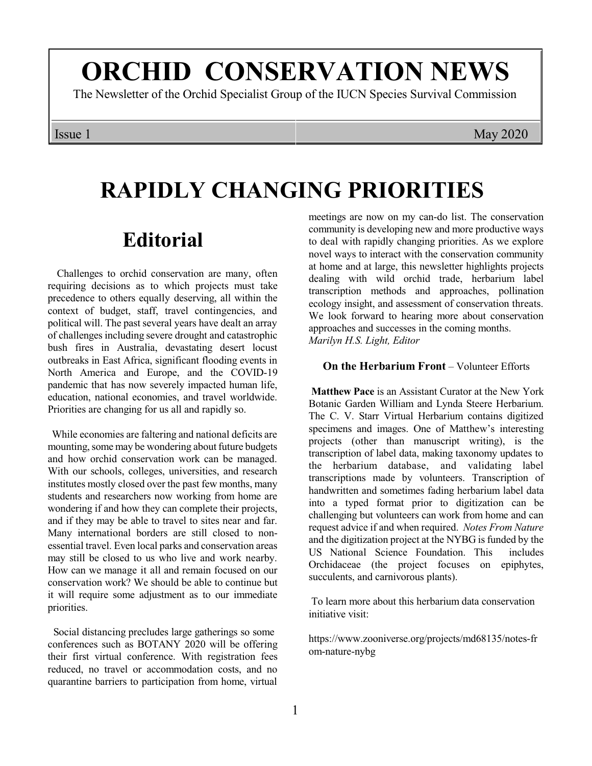# **ORCHID CONSERVATION NEWS**

The Newsletter of the Orchid Specialist Group of the IUCN Species Survival Commission

### Issue 1 May 2020

# **RAPIDLY CHANGING PRIORITIES**

## **Editorial**

Challenges to orchid conservation are many, often requiring decisions as to which projects must take precedence to others equally deserving, all within the context of budget, staff, travel contingencies, and political will. The past several years have dealt an array of challenges including severe drought and catastrophic bush fires in Australia, devastating desert locust outbreaks in East Africa, significant flooding events in North America and Europe, and the COVID-19 pandemic that has now severely impacted human life, education, national economies, and travel worldwide. Priorities are changing for us all and rapidly so.

While economies are faltering and national deficits are mounting, some may be wondering about future budgets and how orchid conservation work can be managed. With our schools, colleges, universities, and research institutes mostly closed over the past few months, many students and researchers now working from home are wondering if and how they can complete their projects, and if they may be able to travel to sites near and far. Many international borders are still closed to nonessential travel. Even local parks and conservation areas may still be closed to us who live and work nearby. How can we manage it all and remain focused on our conservation work? We should be able to continue but it will require some adjustment as to our immediate priorities.

Social distancing precludes large gatherings so some conferences such as BOTANY 2020 will be offering their first virtual conference. With registration fees reduced, no travel or accommodation costs, and no quarantine barriers to participation from home, virtual meetings are now on my can-do list. The conservation community is developing new and more productive ways to deal with rapidly changing priorities. As we explore novel ways to interact with the conservation community at home and at large, this newsletter highlights projects dealing with wild orchid trade, herbarium label transcription methods and approaches, pollination ecology insight, and assessment of conservation threats. We look forward to hearing more about conservation approaches and successes in the coming months. *Marilyn H.S. Light, Editor*

#### **On the Herbarium Front** – Volunteer Efforts

 **Matthew Pace** is an Assistant Curator at the New York Botanic Garden William and Lynda Steere Herbarium. The C. V. Starr Virtual Herbarium contains digitized specimens and images. One of Matthew's interesting projects (other than manuscript writing), is the transcription of label data, making taxonomy updates to the herbarium database, and validating label transcriptions made by volunteers. Transcription of handwritten and sometimes fading herbarium label data into a typed format prior to digitization can be challenging but volunteers can work from home and can request advice if and when required. *Notes From Nature* and the digitization project at the NYBG is funded by the US National Science Foundation. This includes Orchidaceae (the project focuses on epiphytes, succulents, and carnivorous plants).

 To learn more about this herbarium data conservation initiative visit:

https://www.zooniverse.org/projects/md68135/notes-fr om-nature-nybg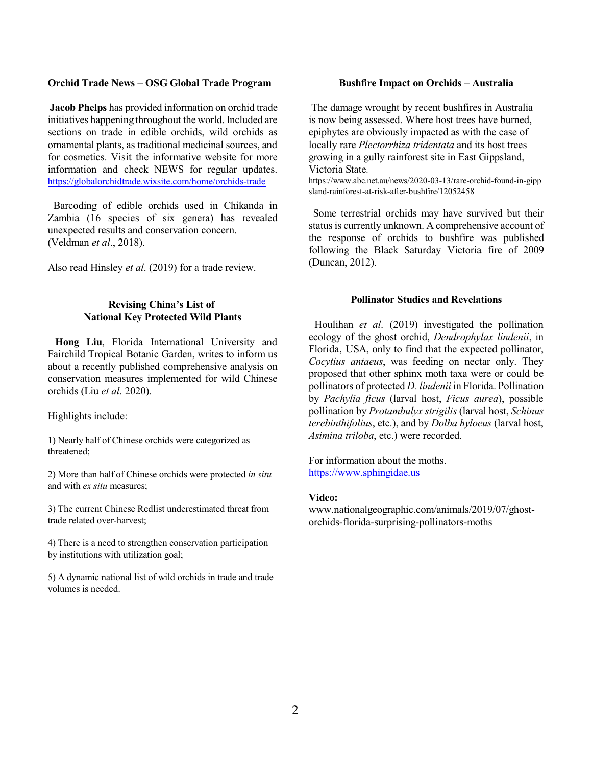#### **Orchid Trade News – OSG Global Trade Program**

**Jacob Phelps** has provided information on orchid trade initiatives happening throughout the world. Included are sections on trade in edible orchids, wild orchids as ornamental plants, as traditional medicinal sources, and for cosmetics. Visit the informative website for more information and check NEWS for regular updates. <https://globalorchidtrade.wixsite.com/home/orchids-trade>

Barcoding of edible orchids used in Chikanda in Zambia (16 species of six genera) has revealed unexpected results and conservation concern. (Veldman *et al*., 2018).

Also read Hinsley *et al*. (2019) for a trade review.

#### **Revising China's List of National Key Protected Wild Plants**

**Hong Liu**, Florida International University and Fairchild Tropical Botanic Garden, writes to inform us about a recently published comprehensive analysis on conservation measures implemented for wild Chinese orchids (Liu *et al*. 2020).

Highlights include:

1) Nearly half of Chinese orchids were categorized as threatened;

2) More than half of Chinese orchids were protected *in situ* and with *ex situ* measures;

3) The current Chinese Redlist underestimated threat from trade related over-harvest;

4) There is a need to strengthen conservation participation by institutions with utilization goal;

5) A dynamic national list of wild orchids in trade and trade volumes is needed.

#### **Bushfire Impact on Orchids** – **Australia**

 The damage wrought by recent bushfires in Australia is now being assessed. Where host trees have burned, epiphytes are obviously impacted as with the case of locally rare *Plectorrhiza tridentata* and its host trees growing in a gully rainforest site in East Gippsland, Victoria State.

https://www.abc.net.au/news/2020-03-13/rare-orchid-found-in-gipp sland-rainforest-at-risk-after-bushfire/12052458

Some terrestrial orchids may have survived but their status is currently unknown. A comprehensive account of the response of orchids to bushfire was published following the Black Saturday Victoria fire of 2009 (Duncan, 2012).

#### **Pollinator Studies and Revelations**

Houlihan *et al*. (2019) investigated the pollination ecology of the ghost orchid, *Dendrophylax lindenii*, in Florida, USA, only to find that the expected pollinator, *Cocytius antaeus*, was feeding on nectar only. They proposed that other sphinx moth taxa were or could be pollinators of protected *D. lindenii* in Florida. Pollination by *Pachylia ficus* (larval host, *Ficus aurea*), possible pollination by *Protambulyx strigilis* (larval host, *Schinus terebinthifolius*, etc.), and by *Dolba hyloeus* (larval host, *Asimina triloba*, etc.) were recorded.

[For information about the m](https://www.sphingidae.us)oths. https://www.sphingidae.us

#### **Video:**

www.nationalgeographic.com/animals/2019/07/ghostorchids-florida-surprising-pollinators-moths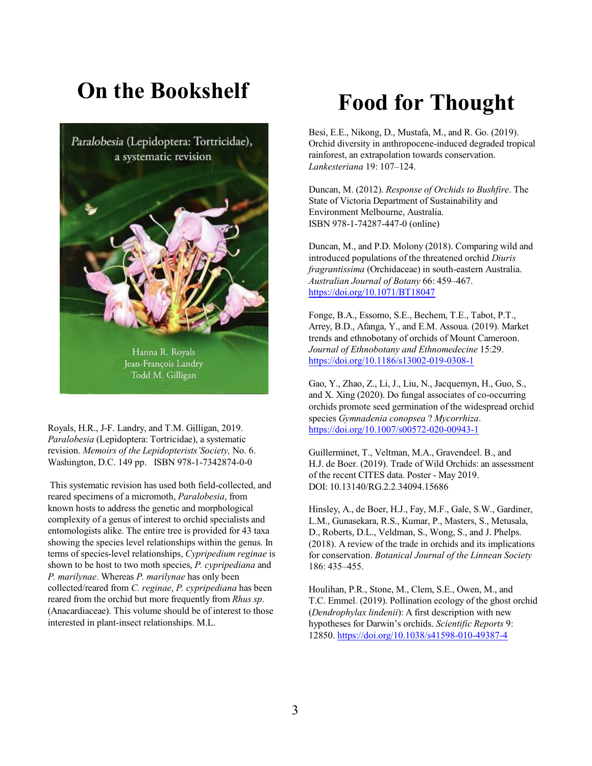## **On the Bookshelf**



Royals, H.R., J-F. Landry, and T.M. Gilligan, 2019. *Paralobesia* (Lepidoptera: Tortricidae), a systematic revision. *Memoirs of the Lepidopterists'Society,* No. 6. Washington, D.C. 149 pp. ISBN 978-1-7342874-0-0

This systematic revision has used both field-collected, and reared specimens of a micromoth, *Paralobesia*, from known hosts to address the genetic and morphological complexity of a genus of interest to orchid specialists and entomologists alike. The entire tree is provided for 43 taxa showing the species level relationships within the genus. In terms of species-level relationships, *Cypripedium reginae* is shown to be host to two moth species, *P. cypripediana* and *P. marilynae*. Whereas *P. marilynae* has only been collected/reared from *C. reginae*, *P. cypripediana* has been reared from the orchid but more frequently from *Rhus sp*. (Anacardiaceae). This volume should be of interest to those interested in plant-insect relationships. M.L.

## **Food for Thought**

Besi, E.E., Nikong, D., Mustafa, M., and R. Go. (2019). Orchid diversity in anthropocene-induced degraded tropical rainforest, an extrapolation towards conservation. *Lankesteriana* 19: 107–124.

Duncan, M. (2012). *Response of Orchids to Bushfire*. The State of Victoria Department of Sustainability and Environment Melbourne, Australia. ISBN 978-1-74287-447-0 (online)

Duncan, M., and P.D. Molony (2018). Comparing wild and introduced populations of the threatened orchid *Diuris fragrantissima* (Orchidaceae) in south-eastern Australia. *Australian Journal of Botany* 66: 459–467. [https://doi.org/10.1071/BT18047](Https://doi.org/10.1071/BT18047)

Fonge, B.A., Essomo, S.E., Bechem, T.E., Tabot, P.T., Arrey, B.D., Afanga, Y., and E.M. Assoua. (2019). Market trends and ethnobotany of orchids of Mount Cameroon. *Journal of Ethnobotany and Ethnomedecine* 15:29. [https://doi.org/10.1186/s13002-019-0308-1](Https://doi.org/10.1186/s13002-019-0308-1)

Gao, Y., Zhao, Z., Li, J., Liu, N., Jacquemyn, H., Guo, S., and X. Xing (2020). Do fungal associates of co-occurring orchids promote seed germination of the widespread orchid species *Gymnadenia conopsea* ? *Mycorrhiza*. <https://doi.org/10.1007/s00572-020-00943-1>

Guillerminet, T., Veltman, M.A., Gravendeel. B., and H.J. de Boer. (2019). Trade of Wild Orchids: an assessment of the recent CITES data. Poster - May 2019. DOI: 10.13140/RG.2.2.34094.15686

Hinsley, A., de Boer, H.J., Fay, M.F., Gale, S.W., Gardiner, L.M., Gunasekara, R.S., Kumar, P., Masters, S., Metusala, D., Roberts, D.L., Veldman, S., Wong, S., and J. Phelps. (2018). A review of the trade in orchids and its implications for conservation. *Botanical Journal of the Linnean Society* 186: 435–455.

Houlihan, P.R., Stone, M., Clem, S.E., Owen, M., and T.C. Emmel. (2019). Pollination ecology of the ghost orchid (*Dendrophylax lindenii*): A first description with new hypotheses for Darwin's orchids. *Scientific Reports* 9: 12850. [https://doi.org/10.1038/s41598-010-49387-4](Https://doi.org/10.1038/s41598-010-49387-4)